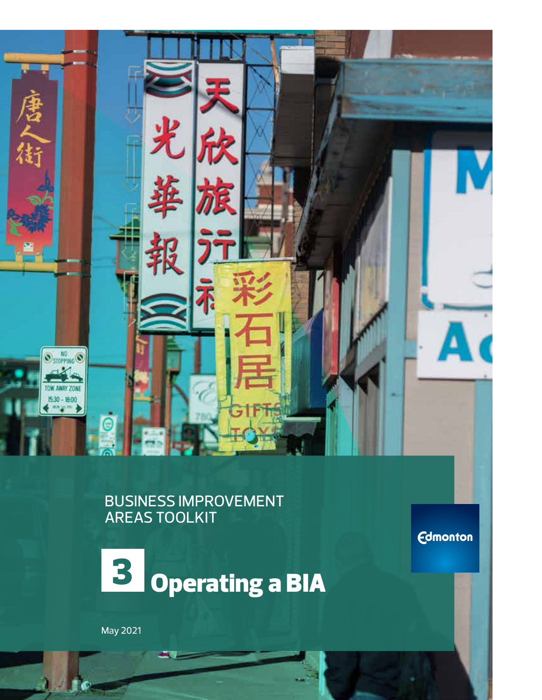

BUSINESS IMPROVEMENT AREAS TOOLKIT

**Edmonton** 



May 2021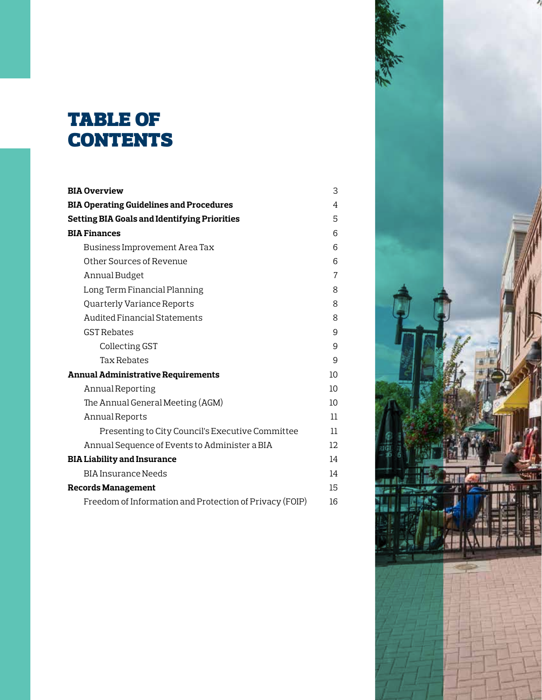# table of **CONTENTS**

| <b>BIA Overview</b>                                     | 3  |
|---------------------------------------------------------|----|
| <b>BIA Operating Guidelines and Procedures</b>          | 4  |
| <b>Setting BIA Goals and Identifying Priorities</b>     | 5  |
| <b>BIA Finances</b>                                     | 6  |
| Business Improvement Area Tax                           | 6  |
| Other Sources of Revenue                                | 6  |
| Annual Budget                                           | 7  |
| Long Term Financial Planning                            | 8  |
| Quarterly Variance Reports                              | 8  |
| Audited Financial Statements                            | 8  |
| <b>GST Rebates</b>                                      | 9  |
| Collecting GST                                          | 9  |
| <b>Tax Rebates</b>                                      | 9  |
| <b>Annual Administrative Requirements</b>               | 10 |
| Annual Reporting                                        | 10 |
| The Annual General Meeting (AGM)                        | 10 |
| Annual Reports                                          | 11 |
| Presenting to City Council's Executive Committee        | 11 |
| Annual Sequence of Events to Administer a BIA           | 12 |
| <b>BIA Liability and Insurance</b>                      | 14 |
| <b>BIA Insurance Needs</b>                              | 14 |
| <b>Records Management</b>                               | 15 |
| Freedom of Information and Protection of Privacy (FOIP) | 16 |

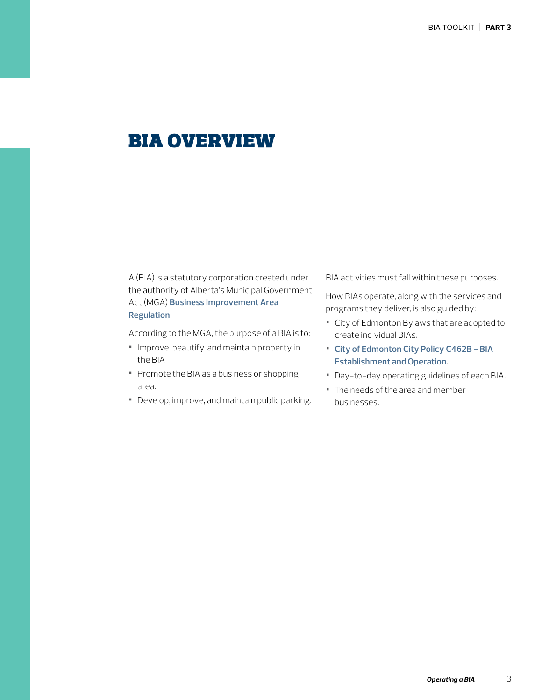# bia overview

A (BIA) is a statutory corporation created under the authority of Alberta's Municipal Government Act (MGA) **[Business Improvement Area](http://www.qp.alberta.ca/documents/Regs/2016_093.pdf)  [Regulation](http://www.qp.alberta.ca/documents/Regs/2016_093.pdf)**.

According to the MGA, the purpose of a BIA is to:

- **•** Improve, beautify, and maintain property in the BIA.
- **•** Promote the BIA as a business or shopping area.
- **•** Develop, improve, and maintain public parking.

BIA activities must fall within these purposes.

How BIAs operate, along with the services and programs they deliver, is also guided by:

- **•** City of Edmonton Bylaws that are adopted to create individual BIAs.
- **• [City of Edmonton City Policy C462B](https://www.edmonton.ca/city_government/documents/PoliciesDirectives/C462B.pdf) BIA Establishment and Operation**.
- **•** Day-to-day operating guidelines of each BIA.
- **•** The needs of the area and member businesses.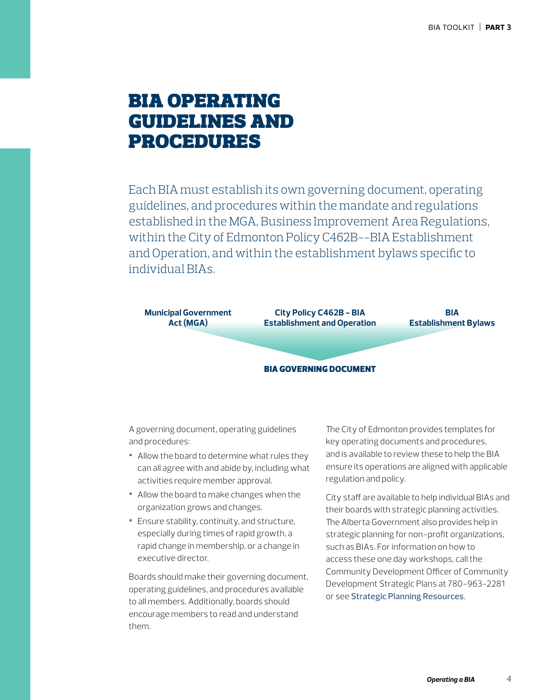# bia operating guidelines and procedures

Each BIA must establish its own governing document, operating guidelines, and procedures within the mandate and regulations established in the MGA, Business Improvement Area Regulations, within the City of Edmonton Policy C462B--BIA Establishment and Operation, and within the establishment bylaws specific to individual BIAs.



A governing document, operating guidelines and procedures:

- **•** Allow the board to determine what rules they can all agree with and abide by, including what activities require member approval.
- **•** Allow the board to make changes when the organization grows and changes.
- **•** Ensure stability, continuity, and structure, especially during times of rapid growth, a rapid change in membership, or a change in executive director.

Boards should make their governing document, operating guidelines, and procedures available to all members. Additionally, boards should encourage members to read and understand them.

The City of Edmonton provides templates for key operating documents and procedures, and is available to review these to help the BIA ensure its operations are aligned with applicable regulation and policy.

City staff are available to help individual BIAs and their boards with strategic planning activities. The Alberta Government also provides help in strategic planning for non-profit organizations, such as BIAs. For information on how to access these one day workshops, call the Community Development Officer of Community Development Strategic Plans at 780-963-2281 or see **Strategic Planning Resources**.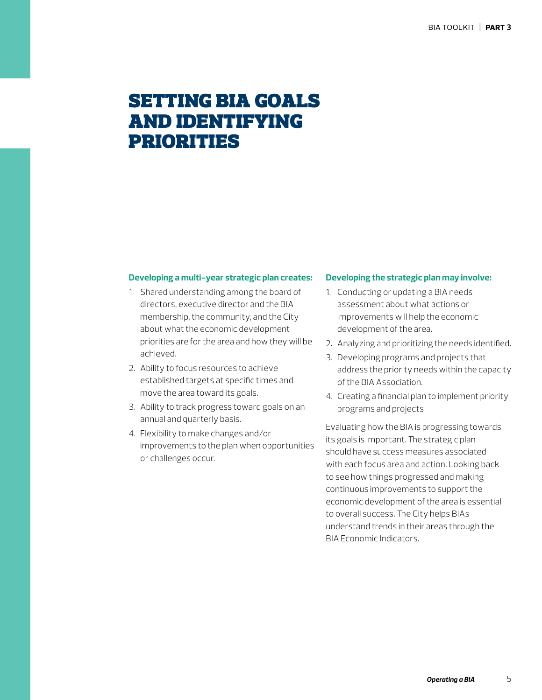# setting bia goals and identifying priorities

#### **Developing a multi-year strategic plan creates:**

- 1. Shared understanding among the board of directors, executive director and the BIA membership, the community, and the City about what the economic development priorities are for the area and how they will be achieved.
- 2. Ability to focus resources to achieve established targets at specific times and move the area toward its goals.
- 3. Ability to track progress toward goals on an annual and quarterly basis.
- 4. Flexibility to make changes and/or improvements to the plan when opportunities or challenges occur.

#### **Developing the strategic plan may involve:**

- 1. Conducting or updating a BIA needs assessment about what actions or improvements will help the economic development of the area.
- 2. Analyzing and prioritizing the needs identified.
- 3. Developing programs and projects that address the priority needs within the capacity of the BIA Association.
- 4. Creating a financial plan to implement priority programs and projects.

Evaluating how the BIA is progressing towards its goals is important. The strategic plan should have success measures associated with each focus area and action. Looking back to see how things progressed and making continuous improvements to support the economic development of the area is essential to overall success. The City helps BIAs understand trends in their areas through the BIA Economic Indicators.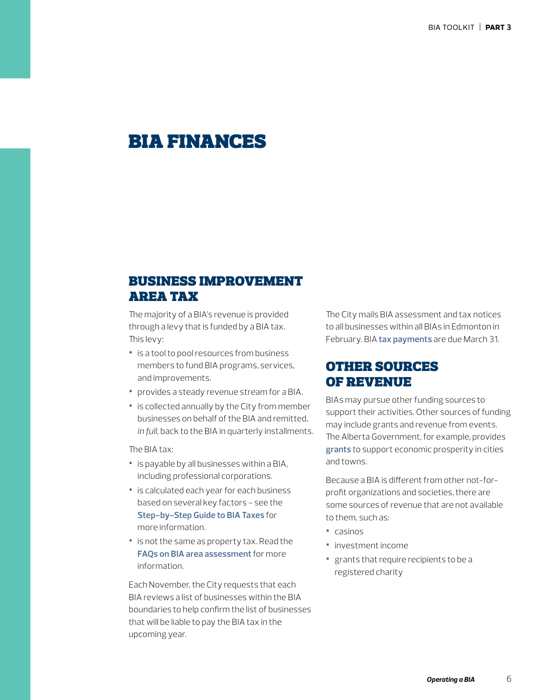# bia finances

## business improvement area tax

The majority of a BIA's revenue is provided through a levy that is funded by a BIA tax. This levy:

- **•** is a tool to pool resources from business members to fund BIA programs, services, and improvements.
- **•** provides a steady revenue stream for a BIA.
- **•** is collected annually by the City from member businesses on behalf of the BIA and remitted, *in full,* back to the BIA in quarterly installments.

The BIA tax:

- **•** is payable by all businesses within a BIA, including professional corporations.
- **•** is calculated each year for each business based on several key factors - see the **[Step-by-Step Guide to BIA Taxes](https://www.edmonton.ca/business_economy/documents/Step_by_Step_BIA_Tax_Process.pdf)** for more information.
- **•** is not the same as property tax. Read the **[FAQs on BIA area assessment](https://www.edmonton.ca/business_economy/assessment_tax/brz-tax-faq.aspx)** for more information.

Each November, the City requests that each BIA reviews a list of businesses within the BIA boundaries to help confirm the list of businesses that will be liable to pay the BIA tax in the upcoming year.

The City mails BIA assessment and tax notices to all businesses within all BIAs in Edmonton in February. BIA **[tax payments](https://www.alberta.ca/community-development-unit.aspx/)** are due March 31.

## other sources of revenue

BIAs may pursue other funding sources to support their activities. Other sources of funding may include grants and revenue from events. The Alberta Government, for example, provides **[grants](https://communityeconomicdevelopment.alberta.ca/grants-funding/)** to support economic prosperity in cities and towns.

Because a BIA is different from other not-forprofit organizations and societies, there are some sources of revenue that are not available to them, such as:

- **•** casinos
- **•** investment income
- **•** grants that require recipients to be a registered charity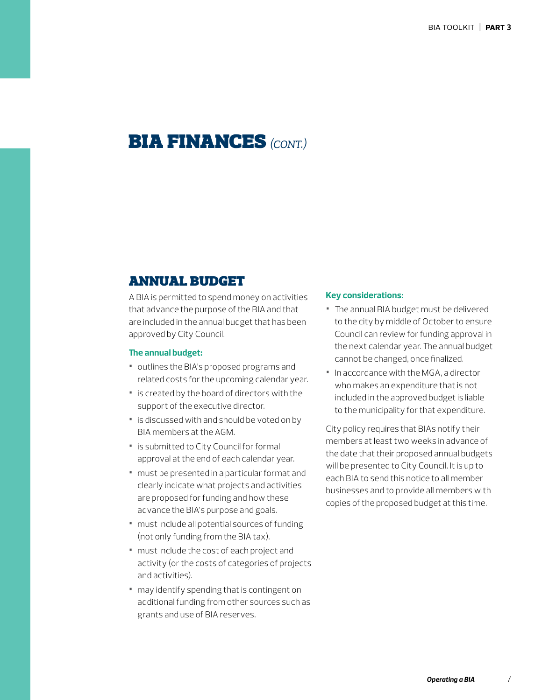# bia finances*(cont.)*

## annual budget

A BIA is permitted to spend money on activities that advance the purpose of the BIA and that are included in the annual budget that has been approved by City Council.

### **The annual budget:**

- **•** outlines the BIA's proposed programs and related costs for the upcoming calendar year.
- **•** is created by the board of directors with the support of the executive director.
- **•** is discussed with and should be voted on by BIA members at the AGM.
- **•** is submitted to City Council for formal approval at the end of each calendar year.
- **•** must be presented in a particular format and clearly indicate what projects and activities are proposed for funding and how these advance the BIA's purpose and goals.
- **•** must include all potential sources of funding (not only funding from the BIA tax).
- **•** must include the cost of each project and activity (or the costs of categories of projects and activities).
- **•** may identify spending that is contingent on additional funding from other sources such as grants and use of BIA reserves.

#### **Key considerations:**

- **•** The annual BIA budget must be delivered to the city by middle of October to ensure Council can review for funding approval in the next calendar year. The annual budget cannot be changed, once finalized.
- **•** In accordance with the MGA, a director who makes an expenditure that is not included in the approved budget is liable to the municipality for that expenditure.

City policy requires that BIAs notify their members at least two weeks in advance of the date that their proposed annual budgets will be presented to City Council. It is up to each BIA to send this notice to all member businesses and to provide all members with copies of the proposed budget at this time.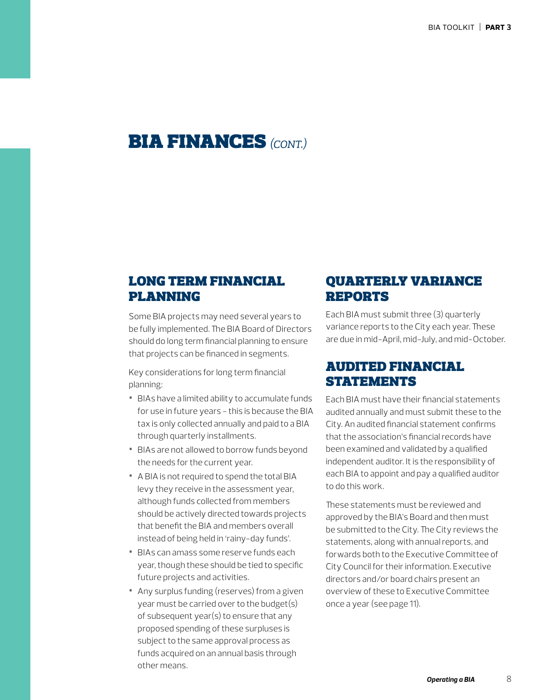## bia finances*(cont.)*

## long term financial planning

Some BIA projects may need several years to be fully implemented. The BIA Board of Directors should do long term financial planning to ensure that projects can be financed in segments.

Key considerations for long term financial planning:

- **•** BIAs have a limited ability to accumulate funds for use in future years - this is because the BIA tax is only collected annually and paid to a BIA through quarterly installments.
- **•** BIAs are not allowed to borrow funds beyond the needs for the current year.
- **•** A BIA is not required to spend the total BIA levy they receive in the assessment year, although funds collected from members should be actively directed towards projects that benefit the BIA and members overall instead of being held in 'rainy-day funds'.
- **•** BIAs can amass some reserve funds each year, though these should be tied to specific future projects and activities.
- **•** Any surplus funding (reserves) from a given year must be carried over to the budget(s) of subsequent year(s) to ensure that any proposed spending of these surpluses is subject to the same approval process as funds acquired on an annual basis through other means.

## quarterly variance reports

Each BIA must submit three (3) quarterly variance reports to the City each year. These are due in mid-April, mid-July, and mid-October.

## audited financial **STATEMENTS**

Each BIA must have their financial statements audited annually and must submit these to the City. An audited financial statement confirms that the association's financial records have been examined and validated by a qualified independent auditor. It is the responsibility of each BIA to appoint and pay a qualified auditor to do this work.

These statements must be reviewed and approved by the BIA's Board and then must be submitted to the City. The City reviews the statements, along with annual reports, and forwards both to the Executive Committee of City Council for their information. Executive directors and/or board chairs present an overview of these to Executive Committee once a year (see page 11).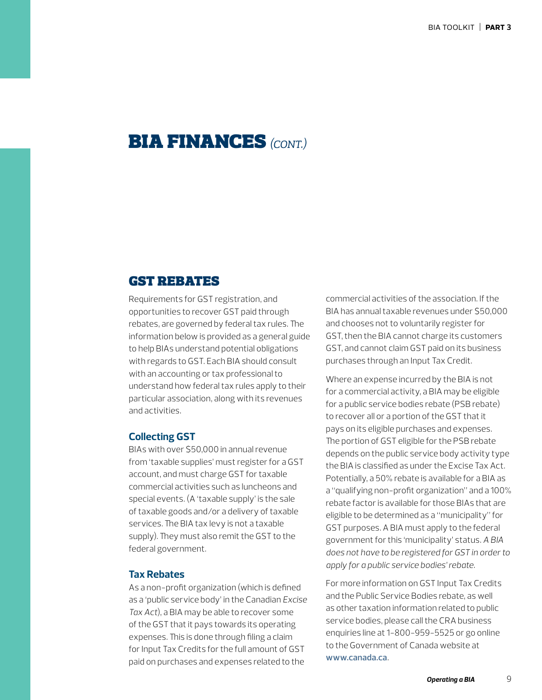## bia finances*(cont.)*

### gst rebates

Requirements for GST registration, and opportunities to recover GST paid through rebates, are governed by federal tax rules. The information below is provided as a general guide to help BIAs understand potential obligations with regards to GST. Each BIA should consult with an accounting or tax professional to understand how federal tax rules apply to their particular association, along with its revenues and activities.

### **Collecting GST**

BIAs with over \$50,000 in annual revenue from 'taxable supplies' must register for a GST account, and must charge GST for taxable commercial activities such as luncheons and special events. (A 'taxable supply' is the sale of taxable goods and/or a delivery of taxable services. The BIA tax levy is not a taxable supply). They must also remit the GST to the federal government.

### **Tax Rebates**

As a non-profit organization (which is defined as a 'public service body' in the Canadian *Excise Tax Act*), a BIA may be able to recover some of the GST that it pays towards its operating expenses. This is done through filing a claim for Input Tax Credits for the full amount of GST paid on purchases and expenses related to the

commercial activities of the association. If the BIA has annual taxable revenues under \$50,000 and chooses not to voluntarily register for GST, then the BIA cannot charge its customers GST, and cannot claim GST paid on its business purchases through an Input Tax Credit.

Where an expense incurred by the BIA is not for a commercial activity, a BIA may be eligible for a public service bodies rebate (PSB rebate) to recover all or a portion of the GST that it pays on its eligible purchases and expenses. The portion of GST eligible for the PSB rebate depends on the public service body activity type the BIA is classified as under the Excise Tax Act. Potentially, a 50% rebate is available for a BIA as a "qualifying non-profit organization" and a 100% rebate factor is available for those BIAs that are eligible to be determined as a "municipality" for GST purposes. A BIA must apply to the federal government for this 'municipality' status. *A BIA does not have to be registered for GST in order to apply for a public service bodies' rebate.*

For more information on GST Input Tax Credits and the Public Service Bodies rebate, as well as other taxation information related to public service bodies, please call the CRA business enquiries line at 1-800-959-5525 or go online to the Government of Canada website at **[www.canada.ca](https://www.canada.ca/home.html)**.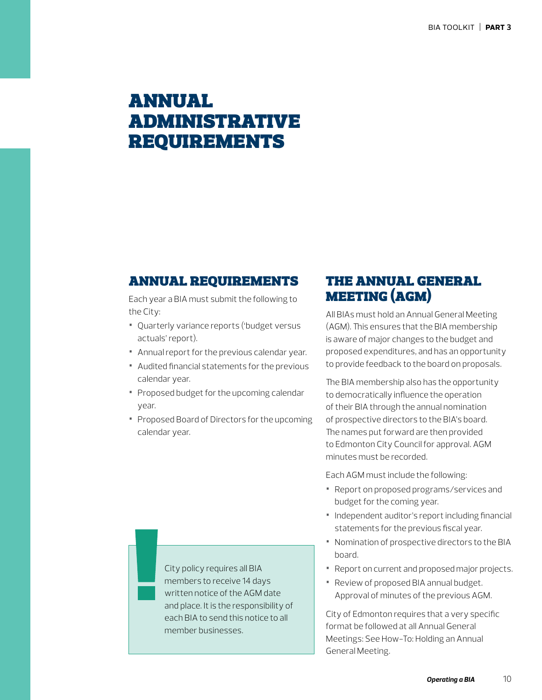# annual administrative **REQUIREMENTS**

### annual requirements

Each year a BIA must submit the following to the City:

- **•** Quarterly variance reports ('budget versus actuals' report).
- **•** Annual report for the previous calendar year.
- **•** Audited financial statements for the previous calendar year.
- **•** Proposed budget for the upcoming calendar year.
- **•** Proposed Board of Directors for the upcoming calendar year.

## the annual general meeting (agm)

All BIAs must hold an Annual General Meeting (AGM). This ensures that the BIA membership is aware of major changes to the budget and proposed expenditures, and has an opportunity to provide feedback to the board on proposals.

The BIA membership also has the opportunity to democratically influence the operation of their BIA through the annual nomination of prospective directors to the BIA's board. The names put forward are then provided to Edmonton City Council for approval. AGM minutes must be recorded.

Each AGM must include the following:

- **•** Report on proposed programs/services and budget for the coming year.
- **•** Independent auditor's report including financial statements for the previous fiscal year.
- **•** Nomination of prospective directors to the BIA board.
- **•** Report on current and proposed major projects.
- **•** Review of proposed BIA annual budget. Approval of minutes of the previous AGM.

City of Edmonton requires that a very specific format be followed at all Annual General Meetings: See How-To: Holding an Annual General Meeting.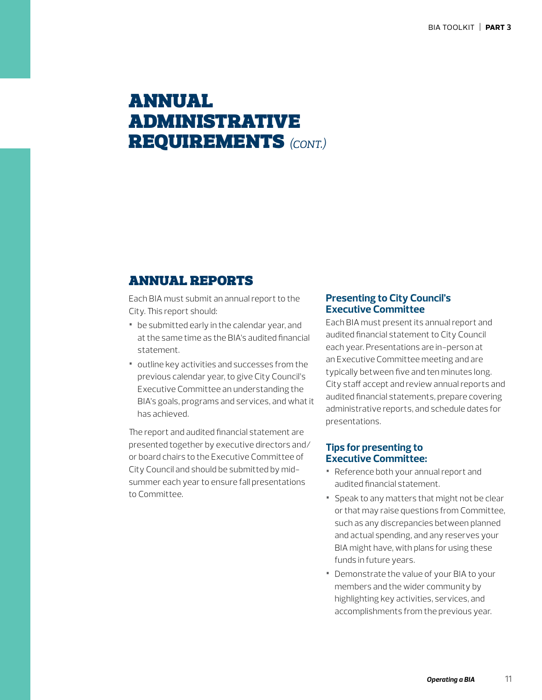# annual administrative requirements *(cont.)*

## annual reports

Each BIA must submit an annual report to the City. This report should:

- **•** be submitted early in the calendar year, and at the same time as the BIA's audited financial statement.
- **•** outline key activities and successes from the previous calendar year, to give City Council's Executive Committee an understanding the BIA's goals, programs and services, and what it has achieved.

The report and audited financial statement are presented together by executive directors and/ or board chairs to the Executive Committee of City Council and should be submitted by midsummer each year to ensure fall presentations to Committee.

### **Presenting to City Council's Executive Committee**

Each BIA must present its annual report and audited financial statement to City Council each year. Presentations are in-person at an Executive Committee meeting and are typically between five and ten minutes long. City staff accept and review annual reports and audited financial statements, prepare covering administrative reports, and schedule dates for presentations.

### **Tips for presenting to Executive Committee:**

- **•** Reference both your annual report and audited financial statement.
- **•** Speak to any matters that might not be clear or that may raise questions from Committee, such as any discrepancies between planned and actual spending, and any reserves your BIA might have, with plans for using these funds in future years.
- **•** Demonstrate the value of your BIA to your members and the wider community by highlighting key activities, services, and accomplishments from the previous year.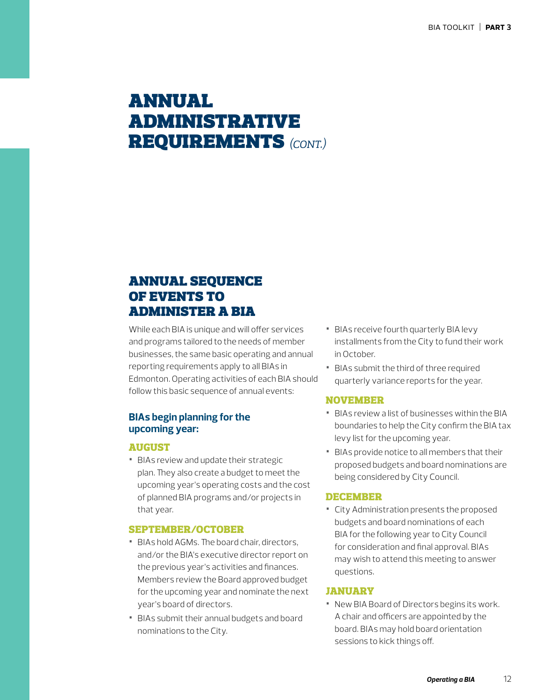# annual administrative requirements *(cont.)*

## annual sequence of events to administer a bia

While each BIA is unique and will offer services and programs tailored to the needs of member businesses, the same basic operating and annual reporting requirements apply to all BIAs in Edmonton. Operating activities of each BIA should follow this basic sequence of annual events:

### **BIAs begin planning for the upcoming year:**

### AUGUST

**•** BIAs review and update their strategic plan. They also create a budget to meet the upcoming year's operating costs and the cost of planned BIA programs and/or projects in that year.

#### SEPTEMBER/OCTOBER

- **•** BIAs hold AGMs. The board chair, directors, and/or the BIA's executive director report on the previous year's activities and finances. Members review the Board approved budget for the upcoming year and nominate the next year's board of directors.
- **•** BIAs submit their annual budgets and board nominations to the City.
- **•** BIAs receive fourth quarterly BIA levy installments from the City to fund their work in October.
- **•** BIAs submit the third of three required quarterly variance reports for the year.

#### NOVEMBER

- **•** BIAs review a list of businesses within the BIA boundaries to help the City confirm the BIA tax levy list for the upcoming year.
- **•** BIAs provide notice to all members that their proposed budgets and board nominations are being considered by City Council.

#### DECEMBER

**•** City Administration presents the proposed budgets and board nominations of each BIA for the following year to City Council for consideration and final approval. BIAs may wish to attend this meeting to answer questions.

### JANUARY

**•** New BIA Board of Directors begins its work. A chair and officers are appointed by the board. BIAs may hold board orientation sessions to kick things off.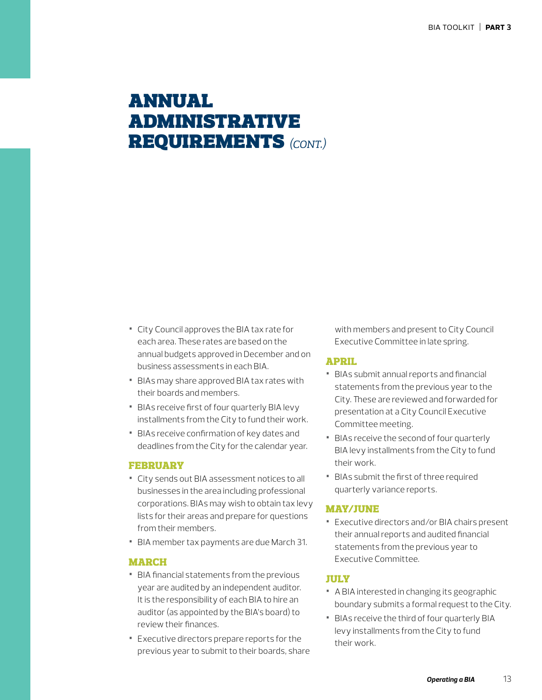# annual administrative requirements *(cont.)*

- **•** City Council approves the BIA tax rate for each area. These rates are based on the annual budgets approved in December and on business assessments in each BIA.
- **•** BIAs may share approved BIA tax rates with their boards and members.
- **•** BIAs receive first of four quarterly BIA levy installments from the City to fund their work.
- **•** BIAs receive confirmation of key dates and deadlines from the City for the calendar year.

#### FEBRUARY

- **•** City sends out BIA assessment notices to all businesses in the area including professional corporations. BIAs may wish to obtain tax levy lists for their areas and prepare for questions from their members.
- **•** BIA member tax payments are due March 31.

#### MARCH

- **•** BIA financial statements from the previous year are audited by an independent auditor. It is the responsibility of each BIA to hire an auditor (as appointed by the BIA's board) to review their finances.
- **•** Executive directors prepare reports for the previous year to submit to their boards, share

with members and present to City Council Executive Committee in late spring.

### APRIL

- **•** BIAs submit annual reports and financial statements from the previous year to the City. These are reviewed and forwarded for presentation at a City Council Executive Committee meeting.
- **•** BIAs receive the second of four quarterly BIA levy installments from the City to fund their work.
- **•** BIAs submit the first of three required quarterly variance reports.

### MAY/JUNE

**•** Executive directors and/or BIA chairs present their annual reports and audited financial statements from the previous year to Executive Committee.

#### JULY

- **•** A BIA interested in changing its geographic boundary submits a formal request to the City.
- **•** BIAs receive the third of four quarterly BIA levy installments from the City to fund their work.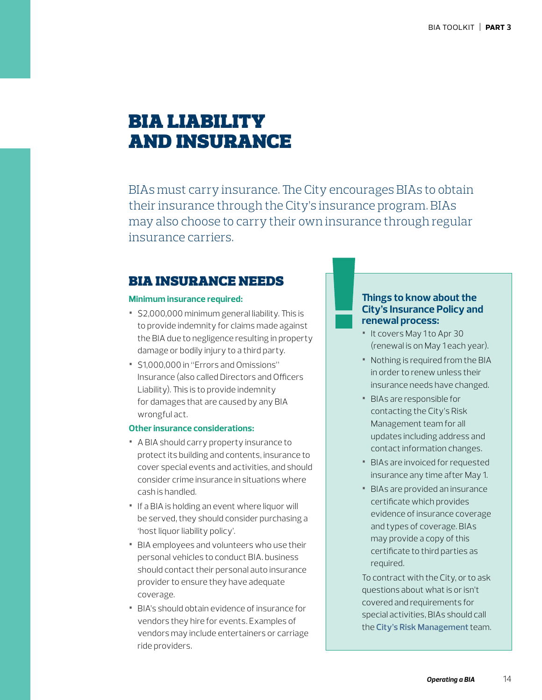# bia liability and insurance

BIAs must carry insurance. The City encourages BIAs to obtain their insurance through the City's insurance program. BIAs may also choose to carry their own insurance through regular insurance carriers.

### bia insurance needs

#### **Minimum insurance required:**

- **•** \$2,000,000 minimum general liability. This is to provide indemnity for claims made against the BIA due to negligence resulting in property damage or bodily injury to a third party.
- **•** \$1,000,000 in "Errors and Omissions" Insurance (also called Directors and Officers Liability). This is to provide indemnity for damages that are caused by any BIA wrongful act.

### **Other insurance considerations:**

- **•** A BIA should carry property insurance to protect its building and contents, insurance to cover special events and activities, and should consider crime insurance in situations where cash is handled.
- **•** If a BIA is holding an event where liquor will be served, they should consider purchasing a 'host liquor liability policy'.
- **•** BIA employees and volunteers who use their personal vehicles to conduct BIA. business should contact their personal auto insurance provider to ensure they have adequate coverage.
- **•** BIA's should obtain evidence of insurance for vendors they hire for events. Examples of vendors may include entertainers or carriage ride providers.

### **Things to know about the City's Insurance Policy and renewal process:**

- **•** It covers May 1 to Apr 30 (renewal is on May 1 each year).
- **•** Nothing is required from the BIA in order to renew unless their insurance needs have changed.
- **•** BIAs are responsible for contacting the City's Risk Management team for all updates including address and contact information changes.
- **•** BIAs are invoiced for requested insurance any time after May 1.
- **•** BIAs are provided an insurance certificate which provides evidence of insurance coverage and types of coverage. BIAs may provide a copy of this certificate to third parties as required.

To contract with the City, or to ask questions about what is or isn't covered and requirements for special activities, BIAs should call the **[City's Risk Management](https://www.edmonton.ca/city_government/city_organization/risk-management.aspx)** team.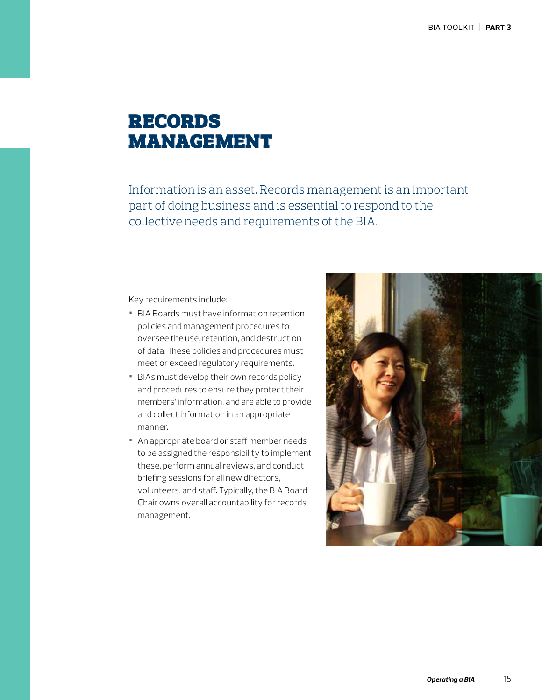# records management

Information is an asset. Records management is an important part of doing business and is essential to respond to the collective needs and requirements of the BIA.

Key requirements include:

- **•** BIA Boards must have information retention policies and management procedures to oversee the use, retention, and destruction of data. These policies and procedures must meet or exceed regulatory requirements.
- **•** BIAs must develop their own records policy and procedures to ensure they protect their members' information, and are able to provide and collect information in an appropriate manner.
- **•** An appropriate board or staff member needs to be assigned the responsibility to implement these, perform annual reviews, and conduct briefing sessions for all new directors, volunteers, and staff. Typically, the BIA Board Chair owns overall accountability for records management.

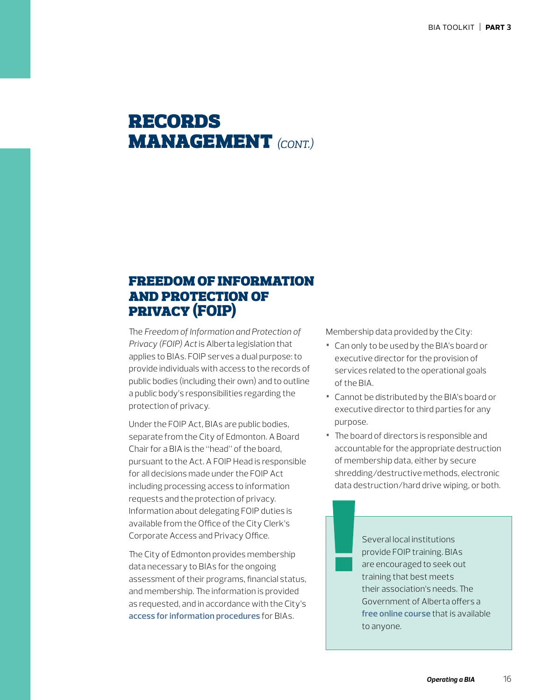# records **MANAGEMENT** (CONT.)

## freedom of information and protection of privacy (FOIP)

The *Freedom of Information and Protection of Privacy (FOIP) Act* is Alberta legislation that applies to BIAs. FOIP serves a dual purpose: to provide individuals with access to the records of public bodies (including their own) and to outline a public body's responsibilities regarding the protection of privacy.

Under the FOIP Act, BIAs are public bodies, separate from the City of Edmonton. A Board Chair for a BIA is the "head" of the board, pursuant to the Act. A FOIP Head is responsible for all decisions made under the FOIP Act including processing access to information requests and the protection of privacy. Information about delegating FOIP duties is available from the Office of the City Clerk's Corporate Access and Privacy Office.

The City of Edmonton provides membership data necessary to BIAs for the ongoing assessment of their programs, financial status, and membership. The information is provided as requested, and in accordance with the City's **[access for information procedures](https://docs.google.com/forms/d/e/1FAIpQLSeqOe8LHRqlXedotvvGloSCqBSfYeSKyHRbNov0jI6ebyVlAA/viewform)** for BIAs.

Membership data provided by the City:

- **•** Can only to be used by the BIA's board or executive director for the provision of services related to the operational goals of the BIA.
- **•** Cannot be distributed by the BIA's board or executive director to third parties for any purpose.
- **•** The board of directors is responsible and accountable for the appropriate destruction of membership data, either by secure shredding/destructive methods, electronic data destruction/hard drive wiping, or both.

Several local institutions provide FOIP training. BIAs are encouraged to seek out training that best meets their association's needs. The Government of Alberta offers a **[free online course](http://www.servicealberta.gov.ab.ca/foip/training/online-training.cfm)** that is available to anyone.